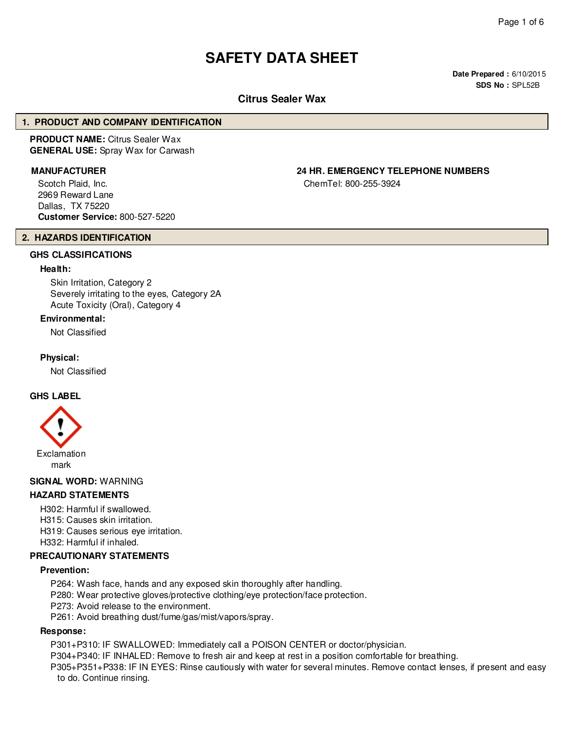# **SAFETY DATA SHEET**

**Date Prepared :** 6/10/2015 **SDS No :** SPL52B

# **Citrus Sealer Wax**

#### **1. PRODUCT AND COMPANY IDENTIFICATION**

**PRODUCT NAME:** Citrus Sealer Wax **GENERAL USE:** Spray Wax for Carwash

Scotch Plaid, Inc. 2969 Reward Lane Dallas, TX 75220 **Customer Service:** 800-527-5220

**2. HAZARDS IDENTIFICATION**

# **GHS CLASSIFICATIONS**

#### **Health:**

Skin Irritation, Category 2 Severely irritating to the eyes, Category 2A Acute Toxicity (Oral), Category 4

#### **Environmental:**

Not Classified

#### **Physical:**

Not Classified

#### **GHS LABEL**



#### **SIGNAL WORD:** WARNING

## **HAZARD STATEMENTS**

H302: Harmful if swallowed.

H315: Causes skin irritation.

H319: Causes serious eye irritation.

H332: Harmful if inhaled.

#### **PRECAUTIONARY STATEMENTS**

#### **Prevention:**

P264: Wash face, hands and any exposed skin thoroughly after handling.

P280: Wear protective gloves/protective clothing/eye protection/face protection.

P273: Avoid release to the environment.

P261: Avoid breathing dust/fume/gas/mist/vapors/spray.

#### **Response:**

P301+P310: IF SWALLOWED: Immediately call a POISON CENTER or doctor/physician.

P304+P340: IF INHALED: Remove to fresh air and keep at rest in a position comfortable for breathing.

P305+P351+P338: IF IN EYES: Rinse cautiously with water for several minutes. Remove contact lenses, if present and easy to do. Continue rinsing.

**MANUFACTURER 24 HR. EMERGENCY TELEPHONE NUMBERS**

ChemTel: 800-255-3924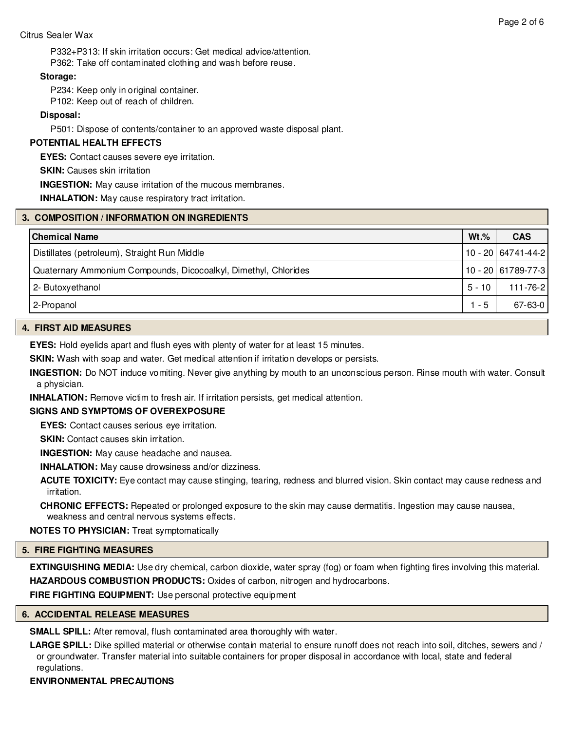P332+P313: If skin irritation occurs: Get medical advice/attention. P362: Take off contaminated clothing and wash before reuse.

#### **Storage:**

P234: Keep only in original container.

P102: Keep out of reach of children.

## **Disposal:**

P501: Dispose of contents/container to an approved waste disposal plant.

## **POTENTIAL HEALTH EFFECTS**

**EYES:** Contact causes severe eye irritation.

**SKIN:** Causes skin irritation

**INGESTION:** May cause irritation of the mucous membranes.

**INHALATION:** May cause respiratory tract irritation.

## **3. COMPOSITION / INFORMATION ON INGREDIENTS**

| l Chemical Name                                                 | $Wt.\%$ | <b>CAS</b>         |
|-----------------------------------------------------------------|---------|--------------------|
| Distillates (petroleum), Straight Run Middle                    |         | 10 - 20 64741-44-2 |
| Quaternary Ammonium Compounds, Dicocoalkyl, Dimethyl, Chlorides |         | 10 - 20 61789-77-3 |
| 2- Butoxyethanol                                                | 5 - 10  | 111-76-2           |
| 2-Propanol                                                      | $1 - 5$ | 67-63-0            |

#### **4. FIRST AID MEASURES**

**EYES:** Hold eyelids apart and flush eyes with plenty of water for at least 15 minutes.

**SKIN:** Wash with soap and water. Get medical attention if irritation develops or persists.

**INGESTION:** Do NOT induce vomiting. Never give anything by mouth to an unconscious person. Rinse mouth with water. Consult a physician.

**INHALATION:** Remove victim to fresh air. If irritation persists, get medical attention.

## **SIGNS AND SYMPTOMS OF OVEREXPOSURE**

**EYES:** Contact causes serious eye irritation.

**SKIN:** Contact causes skin irritation.

**INGESTION:** May cause headache and nausea.

**INHALATION:** May cause drowsiness and/or dizziness.

**ACUTE TOXICITY:** Eye contact may cause stinging, tearing, redness and blurred vision. Skin contact may cause redness and irritation.

**CHRONIC EFFECTS:** Repeated or prolonged exposure to the skin may cause dermatitis. Ingestion may cause nausea, weakness and central nervous systems effects.

**NOTES TO PHYSICIAN:** Treat symptomatically

## **5. FIRE FIGHTING MEASURES**

**EXTINGUISHING MEDIA:** Use dry chemical, carbon dioxide, water spray (fog) or foam when fighting fires involving this material. **HAZARDOUS COMBUSTION PRODUCTS:** Oxides of carbon, nitrogen and hydrocarbons.

**FIRE FIGHTING EQUIPMENT:** Use personal protective equipment

## **6. ACCIDENTAL RELEASE MEASURES**

**SMALL SPILL:** After removal, flush contaminated area thoroughly with water.

**LARGE SPILL:** Dike spilled material or otherwise contain material to ensure runoff does not reach into soil, ditches, sewers and / or groundwater. Transfer material into suitable containers for proper disposal in accordance with local, state and federal regulations.

#### **ENVIRONMENTAL PRECAUTIONS**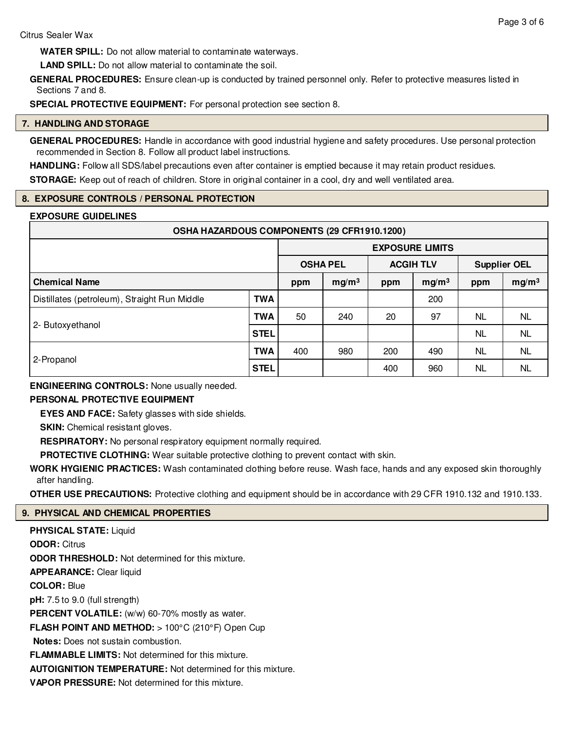**WATER SPILL:** Do not allow material to contaminate waterways.

**LAND SPILL:** Do not allow material to contaminate the soil.

**GENERAL PROCEDURES:** Ensure clean-up is conducted by trained personnel only. Refer to protective measures listed in Sections 7 and 8.

**SPECIAL PROTECTIVE EQUIPMENT:** For personal protection see section 8.

# **7. HANDLING AND STORAGE**

**GENERAL PROCEDURES:** Handle in accordance with good industrial hygiene and safety procedures. Use personal protection recommended in Section 8. Follow all product label instructions.

**HANDLING:** Follow all SDS/label precautions even after container is emptied because it may retain product residues.

**STORAGE:** Keep out of reach of children. Store in original container in a cool, dry and well ventilated area.

# **8. EXPOSURE CONTROLS / PERSONAL PROTECTION**

## **EXPOSURE GUIDELINES**

| OSHA HAZARDOUS COMPONENTS (29 CFR1910.1200)  |             |                        |                   |                  |                   |                     |                   |
|----------------------------------------------|-------------|------------------------|-------------------|------------------|-------------------|---------------------|-------------------|
|                                              |             | <b>EXPOSURE LIMITS</b> |                   |                  |                   |                     |                   |
|                                              |             | <b>OSHA PEL</b>        |                   | <b>ACGIH TLV</b> |                   | <b>Supplier OEL</b> |                   |
| <b>Chemical Name</b>                         |             | ppm                    | mg/m <sup>3</sup> | ppm              | mg/m <sup>3</sup> | ppm                 | mg/m <sup>3</sup> |
| Distillates (petroleum), Straight Run Middle | <b>TWA</b>  |                        |                   |                  | 200               |                     |                   |
| 2- Butoxyethanol                             | <b>TWA</b>  | 50                     | 240               | 20               | 97                | NL.                 | <b>NL</b>         |
|                                              | <b>STEL</b> |                        |                   |                  |                   | <b>NL</b>           | <b>NL</b>         |
| 2-Propanol                                   | <b>TWA</b>  | 400                    | 980               | 200              | 490               | NL.                 | <b>NL</b>         |
|                                              | <b>STEL</b> |                        |                   | 400              | 960               | NL                  | <b>NL</b>         |

**ENGINEERING CONTROLS:** None usually needed.

# **PERSONAL PROTECTIVE EQUIPMENT**

**EYES AND FACE:** Safety glasses with side shields.

**SKIN:** Chemical resistant gloves.

**RESPIRATORY:** No personal respiratory equipment normally required.

**PROTECTIVE CLOTHING:** Wear suitable protective clothing to prevent contact with skin.

**WORK HYGIENIC PRACTICES:** Wash contaminated clothing before reuse. Wash face, hands and any exposed skin thoroughly after handling.

**OTHER USE PRECAUTIONS:** Protective clothing and equipment should be in accordance with 29 CFR 1910.132 and 1910.133.

# **9. PHYSICAL AND CHEMICAL PROPERTIES**

**PHYSICAL STATE:** Liquid **ODOR:** Citrus **ODOR THRESHOLD:** Not determined for this mixture. **APPEARANCE:** Clear liquid **COLOR:** Blue **pH:** 7.5 to 9.0 (full strength) PERCENT VOLATILE: (w/w) 60-70% mostly as water. **FLASH POINT AND METHOD:** > 100°C (210°F) Open Cup **Notes:** Does not sustain combustion. **FLAMMABLE LIMITS:** Not determined for this mixture. **AUTOIGNITION TEMPERATURE:** Not determined for this mixture. **VAPOR PRESSURE:** Not determined for this mixture.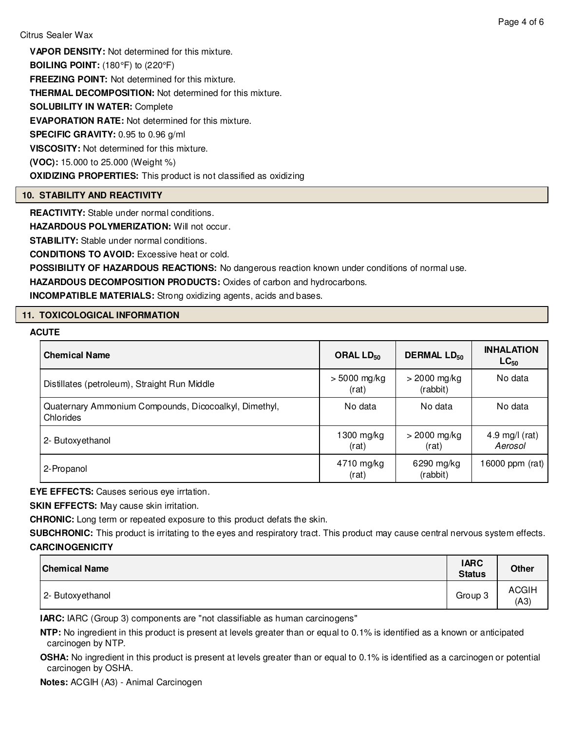**VAPOR DENSITY:** Not determined for this mixture.

**BOILING POINT:** (180°F) to (220°F)

**FREEZING POINT:** Not determined for this mixture.

**THERMAL DECOMPOSITION:** Not determined for this mixture.

**SOLUBILITY IN WATER:** Complete

**EVAPORATION RATE:** Not determined for this mixture.

**SPECIFIC GRAVITY:** 0.95 to 0.96 g/ml

**VISCOSITY:** Not determined for this mixture.

**(VOC):** 15.000 to 25.000 (Weight %)

**OXIDIZING PROPERTIES:** This product is not classified as oxidizing

# **10. STABILITY AND REACTIVITY**

**REACTIVITY:** Stable under normal conditions.

**HAZARDOUS POLYMERIZATION:** Will not occur.

**STABILITY:** Stable under normal conditions.

**CONDITIONS TO AVOID:** Excessive heat or cold.

**POSSIBILITY OF HAZARDOUS REACTIONS:** No dangerous reaction known under conditions of normal use.

**HAZARDOUS DECOMPOSITION PRODUCTS:** Oxides of carbon and hydrocarbons.

**INCOMPATIBLE MATERIALS:** Strong oxidizing agents, acids and bases.

# **11. TOXICOLOGICAL INFORMATION**

# **ACUTE**

| <b>Chemical Name</b>                                               | ORAL $LD_{50}$          | <b>DERMAL LD<sub>50</sub></b> | <b>INHALATION</b><br>$LC_{50}$ |
|--------------------------------------------------------------------|-------------------------|-------------------------------|--------------------------------|
| Distillates (petroleum), Straight Run Middle                       | $> 5000$ mg/kg<br>(rat) | $>$ 2000 mg/kg<br>(rabbit)    | No data                        |
| Quaternary Ammonium Compounds, Dicocoalkyl, Dimethyl,<br>Chlorides | No data                 | No data                       | No data                        |
| 2- Butoxyethanol                                                   | $1300$ mg/kg<br>(rat)   | $>$ 2000 mg/kg<br>(rat)       | 4.9 mg/l $(rat)$<br>Aerosol    |
| 2-Propanol                                                         | 4710 mg/kg<br>(rat)     | 6290 mg/kg<br>(rabbit)        | 16000 ppm (rat) $ $            |

**EYE EFFECTS:** Causes serious eye irrtation.

**SKIN EFFECTS:** May cause skin irritation.

**CHRONIC:** Long term or repeated exposure to this product defats the skin.

**SUBCHRONIC:** This product is irritating to the eyes and respiratory tract. This product may cause central nervous system effects. **CARCINOGENICITY**

| <b>Chemical Name</b> | <b>IARC</b><br><b>Status</b> | <b>Other</b>         |
|----------------------|------------------------------|----------------------|
| 2- Butoxyethanol     | Group 3                      | <b>ACGIH</b><br>(A3) |

**IARC:** IARC (Group 3) components are "not classifiable as human carcinogens"

**NTP:** No ingredient in this product is present at levels greater than or equal to 0.1% is identified as a known or anticipated carcinogen by NTP.

**OSHA:** No ingredient in this product is present at levels greater than or equal to 0.1% is identified as a carcinogen or potential carcinogen by OSHA.

**Notes:** ACGIH (A3) - Animal Carcinogen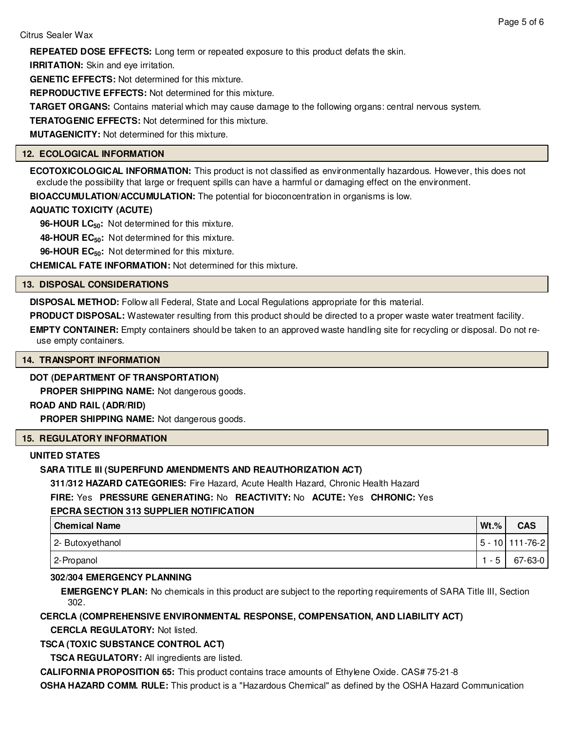**IRRITATION:** Skin and eye irritation.

**GENETIC EFFECTS:** Not determined for this mixture.

**REPRODUCTIVE EFFECTS:** Not determined for this mixture.

**TARGET ORGANS:** Contains material which may cause damage to the following organs: central nervous system.

**TERATOGENIC EFFECTS:** Not determined for this mixture.

**MUTAGENICITY:** Not determined for this mixture.

# **12. ECOLOGICAL INFORMATION**

**ECOTOXICOLOGICAL INFORMATION:** This product is not classified as environmentally hazardous. However, this does not exclude the possibility that large or frequent spills can have a harmful or damaging effect on the environment.

**BIOACCUMULATION/ACCUMULATION:** The potential for bioconcentration in organisms is low.

# **AQUATIC TOXICITY (ACUTE)**

**96-HOUR LC50:** Not determined for this mixture.

**48-HOUR EC50:** Not determined for this mixture.

**96-HOUR EC50:** Not determined for this mixture.

**CHEMICAL FATE INFORMATION:** Not determined for this mixture.

# **13. DISPOSAL CONSIDERATIONS**

**DISPOSAL METHOD:** Follow all Federal, State and Local Regulations appropriate for this material.

**PRODUCT DISPOSAL:** Wastewater resulting from this product should be directed to a proper waste water treatment facility.

**EMPTY CONTAINER:** Empty containers should be taken to an approved waste handling site for recycling or disposal. Do not reuse empty containers.

# **14. TRANSPORT INFORMATION**

# **DOT (DEPARTMENT OF TRANSPORTATION)**

**PROPER SHIPPING NAME:** Not dangerous goods.

# **ROAD AND RAIL (ADR/RID)**

**PROPER SHIPPING NAME:** Not dangerous goods.

# **15. REGULATORY INFORMATION**

# **UNITED STATES**

# **SARA TITLE III (SUPERFUND AMENDMENTS AND REAUTHORIZATION ACT)**

**311/312 HAZARD CATEGORIES:** Fire Hazard, Acute Health Hazard, Chronic Health Hazard

# **FIRE:** Yes **PRESSURE GENERATING:** No **REACTIVITY:** No **ACUTE:** Yes **CHRONIC:** Yes

# **EPCRA SECTION 313 SUPPLIER NOTIFICATION**

| <b>Chemical Name</b> | $Wt.\%$ | <b>CAS</b>        |
|----------------------|---------|-------------------|
| 2- Butoxyethanol     |         | 5 - 10   111-76-2 |
| 2-Propanol           | - 5     | $67 - 63 - 0$     |

# **302/304 EMERGENCY PLANNING**

**EMERGENCY PLAN:** No chemicals in this product are subject to the reporting requirements of SARA Title III, Section 302.

# **CERCLA (COMPREHENSIVE ENVIRONMENTAL RESPONSE, COMPENSATION, AND LIABILITY ACT)**

**CERCLA REGULATORY:** Not listed.

# **TSCA (TOXIC SUBSTANCE CONTROL ACT)**

**TSCA REGULATORY:** All ingredients are listed.

**CALIFORNIA PROPOSITION 65:** This product contains trace amounts of Ethylene Oxide. CAS# 75-21-8

**OSHA HAZARD COMM. RULE:** This product is a "Hazardous Chemical" as defined by the OSHA Hazard Communication